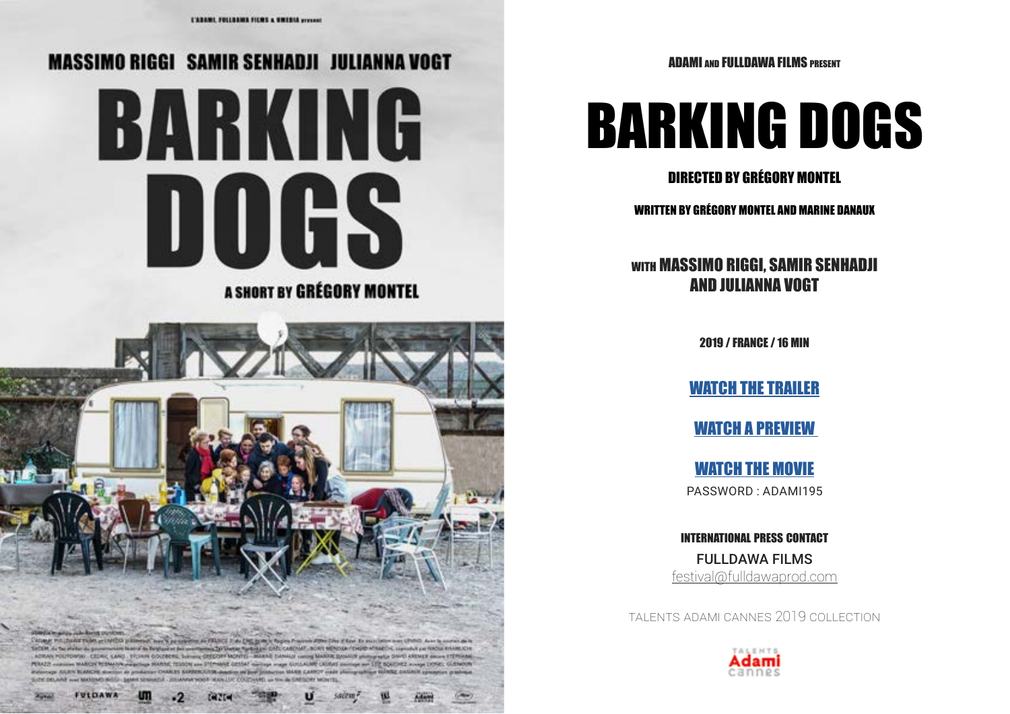CARANT, FOLLOGNA FILMS & UNIONS arrange



ADAMI and FULLDAWA FILMS PRESENT

# BARKING DOGS

DIRECTED BY GRÉGORY MONTEL

WRITTEN BY GRÉGORY MONTEL AND MARINE DANAUX

WITH **MASSIMO RIGGI, SAMIR SENHADJI** AND JULIANNA VOGT

2019 / FRANCE / 16 MIN

[WATCH THE TRAILER](https://vimeo.com/374227154)

[WATCH A PREVIEW](https://vimeo.com/372882234) 

[WATCH THE MOVIE](https://vimeo.com/336316929) PASSWORD : ADAMI195

international press contact FULLDAWA FILMS festival@fulldawaprod.com

talents adami cannes 2019 COLLECTION

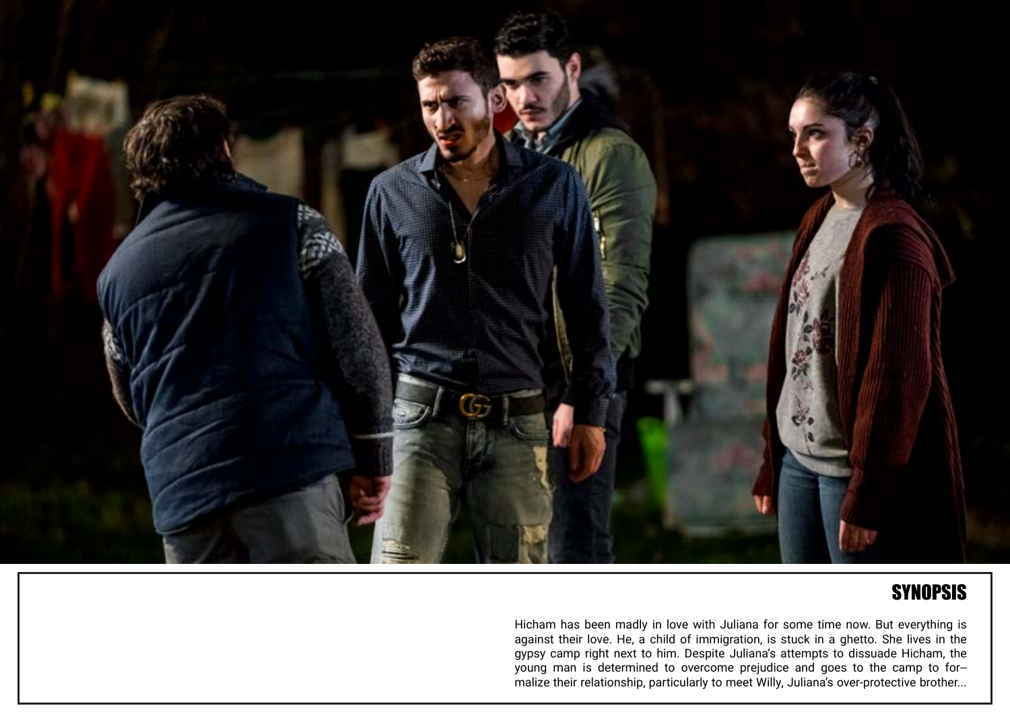

#### **SYNOPSIS**

Hicham has been madly in love with Juliana for some time now. But everything is against their love. He, a child of immigration, is stuck in a ghetto. She lives in the gypsy camp right next to him. Despite Juliana's attempts to dissuade Hicham, the young man is determined to overcome prejudice and goes to the camp to for- malize their relationship, particularly to meet Willy, Juliana's over-protective brother...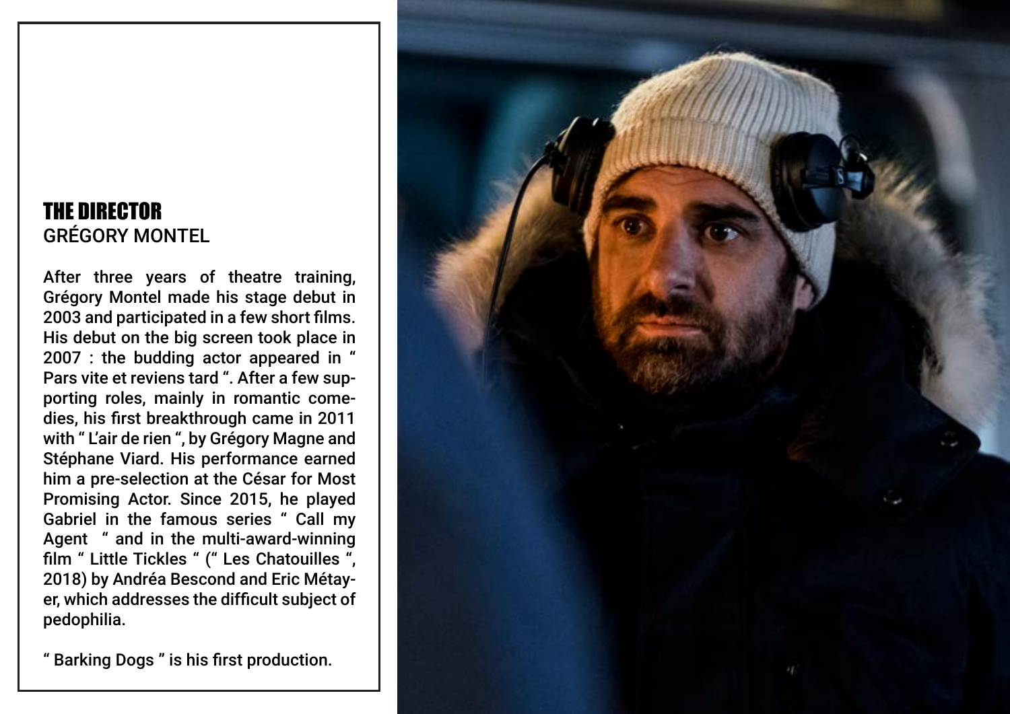### THE DIRECTOR GRÉGORY MONTEL

After three years of theatre training, Grégory Montel made his stage debut in 2003 and participated in a few short films. His debut on the big screen took place in 2007 : the budding actor appeared in " Pars vite et reviens tard ". After a few supporting roles, mainly in romantic comedies, his first breakthrough came in 2011 with " L'air de rien ", by Grégory Magne and Stéphane Viard. His performance earned him a pre-selection at the César for Most Promising Actor. Since 2015, he played Gabriel in the famous series " Call my Agent " and in the multi-award-winning film " Little Tickles " (" Les Chatouilles ", 2018) by Andréa Bescond and Eric Métayer, which addresses the difficult subject of pedophilia.

" Barking Dogs " is his first production.

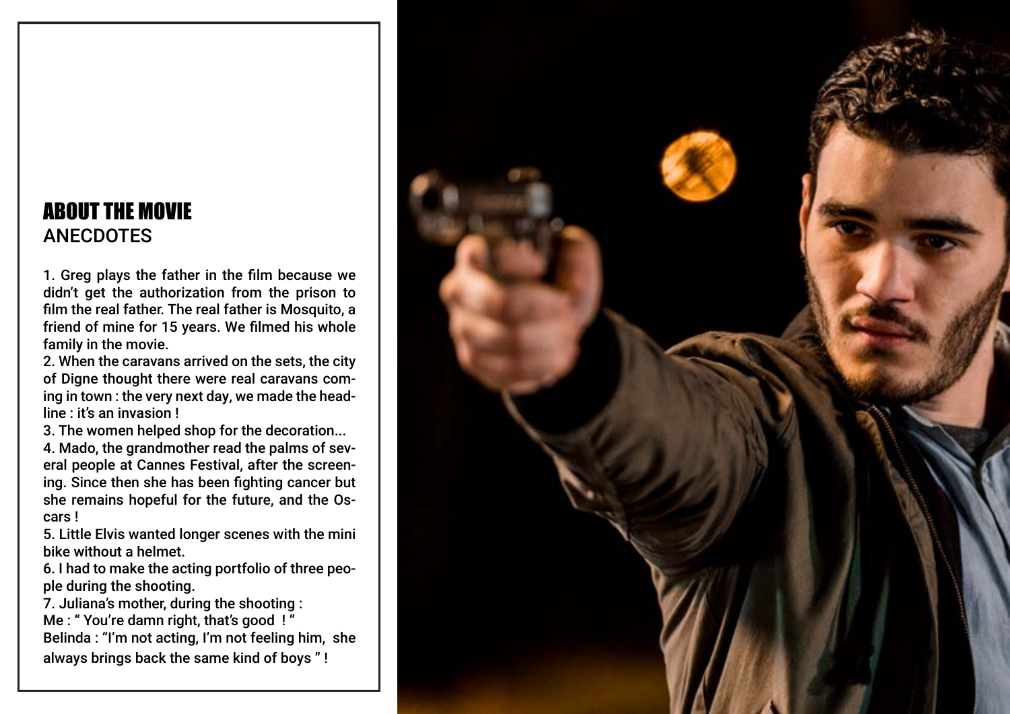### ABOUT THE MOVIE ANECDOTES

1. Greg plays the father in the film because we didn't get the authorization from the prison to film the real father. The real father is Mosquito, a friend of mine for 15 years. We filmed his whole family in the movie.

2. When the caravans arrived on the sets, the city of Digne thought there were real caravans coming in town : the very next day, we made the headline : it's an invasion !

3. The women helped shop for the decoration...

4. Mado, the grandmother read the palms of several people at Cannes Festival, after the screening. Since then she has been fighting cancer but she remains hopeful for the future, and the Oscars !

5. Little Elvis wanted longer scenes with the mini bike without a helmet.

6. I had to make the acting portfolio of three people during the shooting.

7. Juliana's mother, during the shooting :

Me : " You're damn right, that's good ! "

Belinda : "I'm not acting, I'm not feeling him, she always brings back the same kind of boys " !

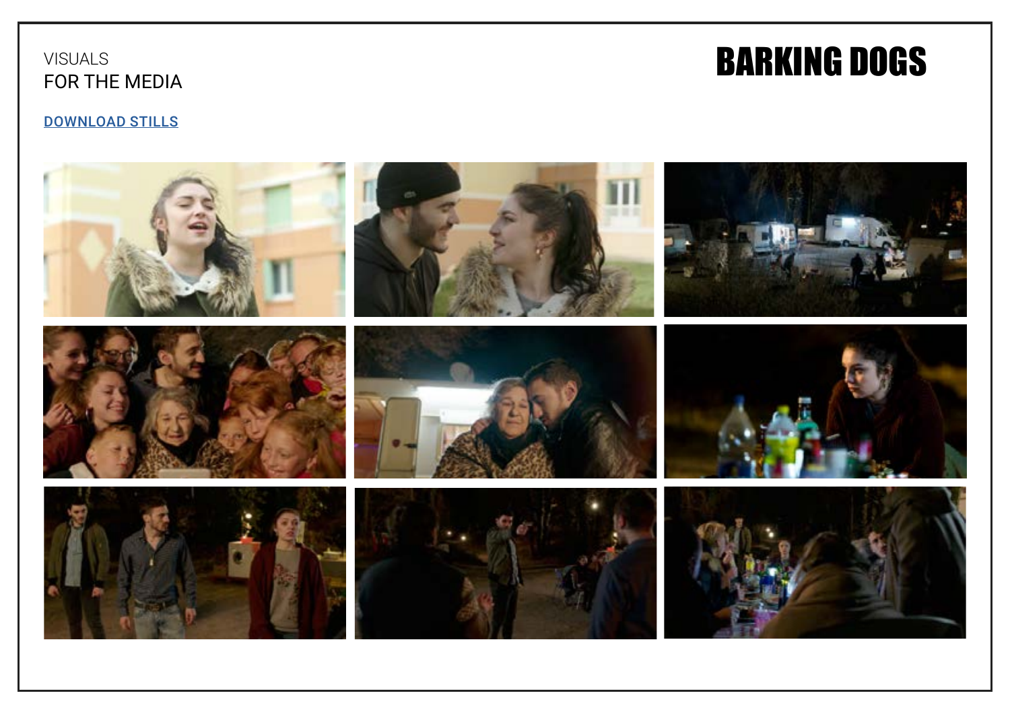#### VISUALS FOR THE MEDIA

# BARKING DOGS

[DOWNLOAD STILLS](https://we.tl/t-2TBgcwUQV3)

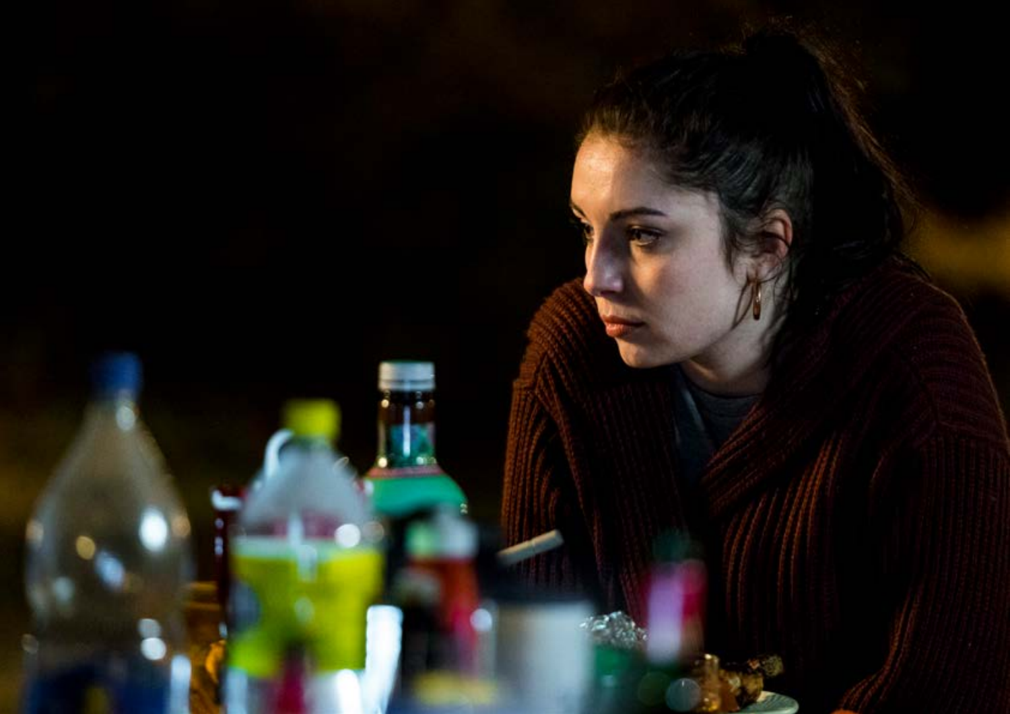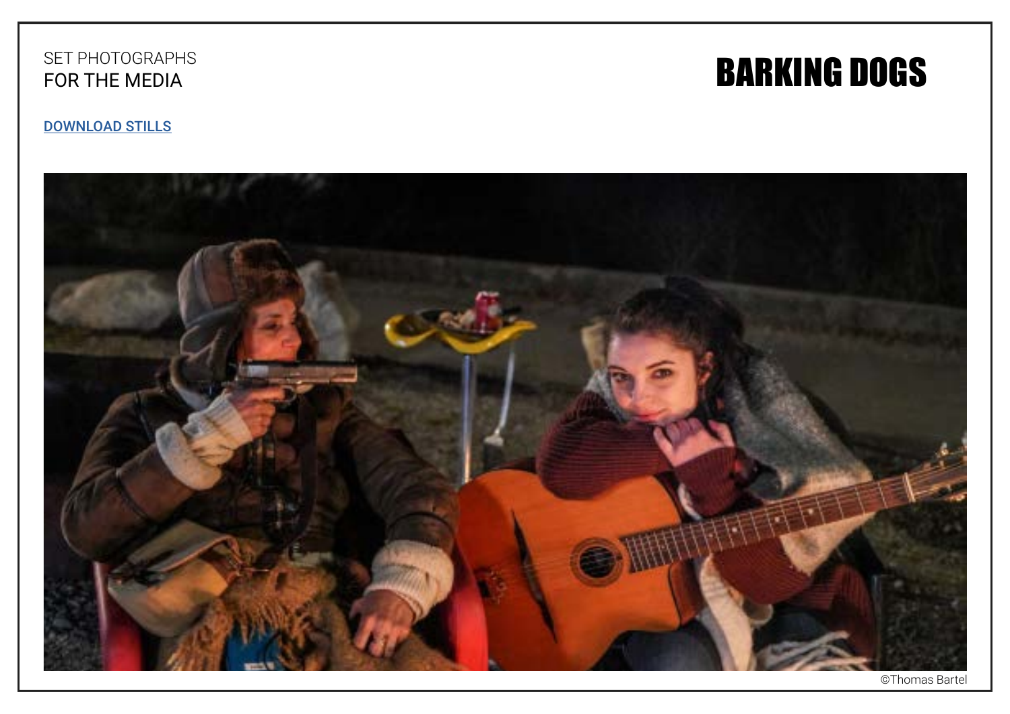SET PHOTOGRAPHS FOR THE MEDIA

## BARKING DOGS

[DOWNLOAD STILLS](https://we.tl/t-6jekvMr8N2)



©Thomas Bartel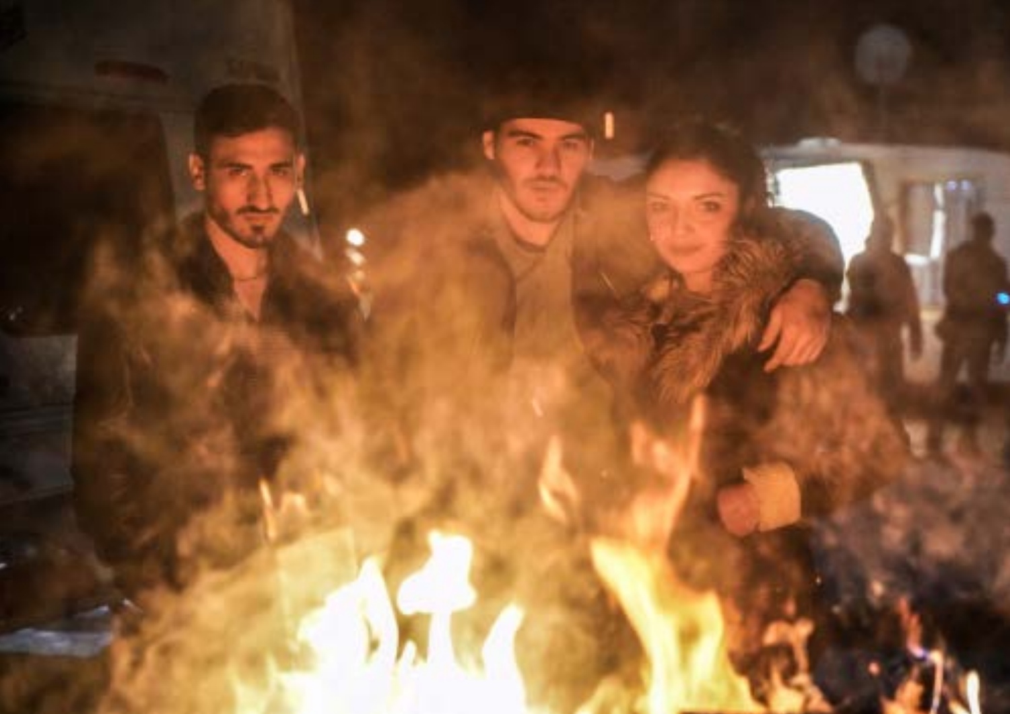